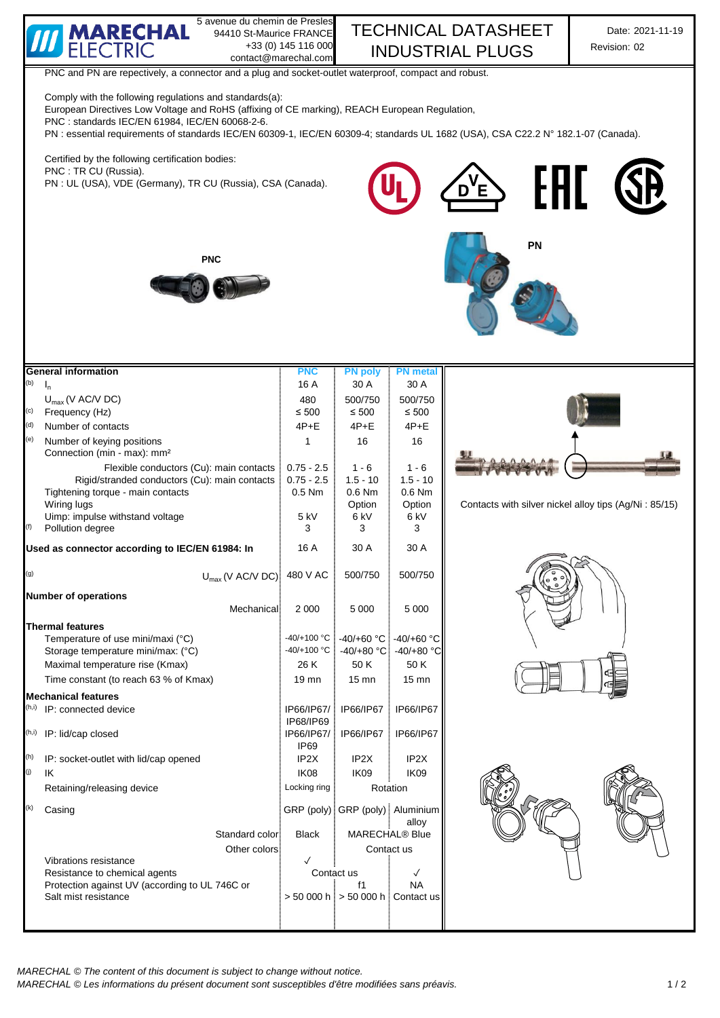

| (f)   | Uimp: impulse withstand voltage<br>Pollution degree | 5 kV<br>3         | 6 kV<br>3                               | 6 kV<br>3                  |  |
|-------|-----------------------------------------------------|-------------------|-----------------------------------------|----------------------------|--|
|       | Used as connector according to IEC/EN 61984: In     | 16 A              | 30 A                                    | 30 A                       |  |
| (g)   | $U_{\text{max}}$ (V AC/V DC) 480 V AC               |                   | 500/750                                 | 500/750                    |  |
|       | <b>Number of operations</b>                         |                   |                                         |                            |  |
|       | Mechanical                                          | 2 0 0 0           | 5 0 0 0                                 | 5 0 0 0                    |  |
|       | <b>Thermal features</b>                             |                   |                                         |                            |  |
|       | Temperature of use mini/maxi (°C)                   |                   | $-40/+100$ °C $-40/+60$ °C $-40/+60$ °C |                            |  |
|       | Storage temperature mini/max: (°C)                  | $-40/+100 °C$     |                                         | $-40/+80$ °C. $-40/+80$ °C |  |
|       | Maximal temperature rise (Kmax)                     | 26 K              | 50 K                                    | 50 K                       |  |
|       | Time constant (to reach 63 % of Kmax)               | $19 \text{mn}$    | $15 \text{ mm}$                         | $15 \text{ mm}$            |  |
|       | <b>Mechanical features</b>                          |                   |                                         |                            |  |
|       | <sup>(h,i)</sup> IP: connected device               | IP66/IP67/        | IP66/IP67                               | IP66/IP67                  |  |
| (h,i) | IP: lid/cap closed                                  | IP68/IP69         | IP66/IP67/   IP66/IP67                  | IP66/IP67                  |  |
|       |                                                     | IP <sub>69</sub>  |                                         |                            |  |
| (h)   | IP: socket-outlet with lid/cap opened               | IP <sub>2</sub> X | IP <sub>2</sub> X                       | IP <sub>2</sub> X          |  |
| (j)   | IK                                                  | IK08              | IK <sub>09</sub>                        | IK <sub>09</sub>           |  |
|       | Retaining/releasing device                          | Locking ring      | Rotation                                |                            |  |
| (k)   | Casing                                              |                   | GRP (poly) GRP (poly) Aluminium         |                            |  |
|       |                                                     |                   |                                         | allov                      |  |
|       | Standard color:                                     | <b>Black</b>      | MARECHAL <sup>®</sup> Blue              |                            |  |

 $> 50000 h$   $> 50000 h$  Contact us

Contact us

Contact us





Protection against UV (according to UL 746C or **f** and the state of the state of the SAI mist resistance SAI NA

Other colors

Vibrations resistance Resistance to chemical agents